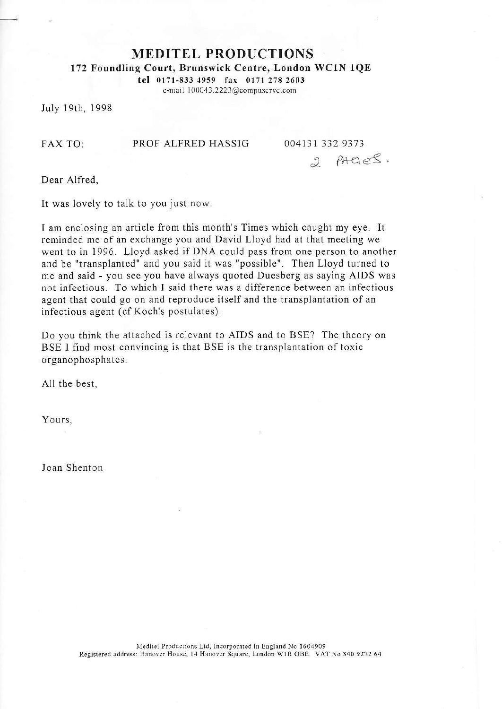MEDITEL PRODUCTIONS

172 Foundling Court, Brunswick Centre, London WClN 1QE

tel 0171-833 4959 tar 0171 278 <sup>2603</sup> e-mail I 00043 2223@compuserve.com

July 19th, 1998

FAX TO: PROF ALFRED HASSIG 004131 332 <sup>9373</sup>

2 PAGES.

Dear Alfred,

It was lovely to talk to you just now.

I am enclosing an article from this month's Times which caught my eye. It reminded me of an exchange you and David Lloyd had at that meeting we went to in 1996. Lloyd asked if DNA could pass from one person to another and be "transplanted" and you said it was "possible". Then Lloyd turned to me and said - you see you have always quoted Duesberg as saying AIDS was not infectious. To which I said there was a difference between an infectious agent that could go on and reproduce itself and the transplantation of an infectious agent (cf Koch's postulates).

Do you think the attached is relevant to AIDS and to BSE? The theory on BSE I find most convincing is that BSE is the transplantation of toxic organophosphates.

All the best,

Yours,

Joan Shenton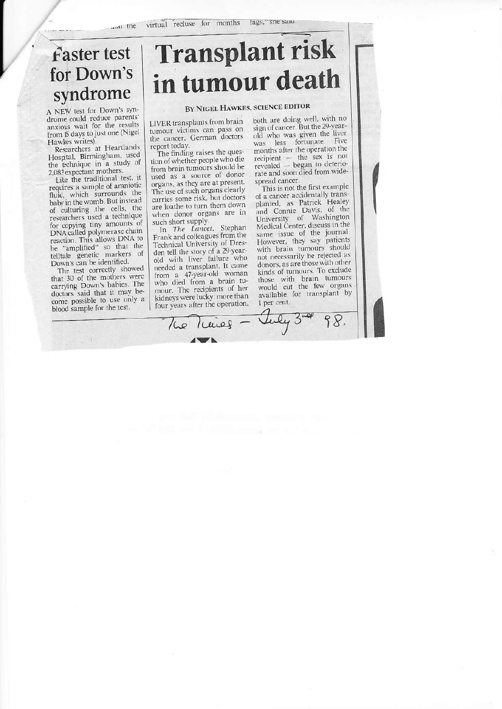## Faster test for Down's syndrome

A NEW test for Down's syndrome could reduce parents' anxious wait for the results from IS days to just one (Nigel Hawkes writes).

Researchers at Heartlands Hosptal, Birmingham, used the technique in a study of 2,083 expectant mothers.

Like the traditional test, it requires a sample of amniotic fluid, which surrounds the baby in the womb. But instead of culturing the cells, the researchers used a technique for copying tiny amounts of DNA called polymerase chain reaction. This allows DNA to be "amplified" so that the<br>telltale genetic markers of Down's can be identified.

The test correctly showed<br>that 30 of the mothers were carrying Down's babies. The doctors said that it may become possible to use only a blood sample for the test.

## **Transplant risk** in tumour death

## BY NIGEL HAWKES, SCIENCE EDITOR

LIVER transplants from brain tumour victims can pass on the cancer, German doctors report today.

The finding raises the question of whether people who die from brain tumours should be used as a source of donor organs, as they are at present. The use of such organs clearly carries some risk, but doctors are loathe to turn them down when donor organs are in such short supply.

In The Lancet, Stephan Frank and colleagues from the Technical University of Dresden tell the story of a 29-year-<br>old with liver failure who needed a transplant. It came from a 47-year-old woman who died from a brain tumour. The recipients of her kidneys were lucky: more than four years after the operation, the Traines - July

both are doing well, with no<br>sign of cancer. But the 29-yearold who was given the liver was less fortunate. Five months after the operation the  $recipient$  - the sex is not revealed - began to deteriorate and soon died from widespread cancer.

This is not the first example of a cancer accidentally transplanted, as Patrick Healey and Connie Davis, of the University of Washington Medical Center, discuss in the same issue of the journal. However, they say patients with brain tumours should not necessarily be rejected as donors, as are those with other kinds of tumours. To exclude those with brain tumours<br>would cut the few organs available for transplant by 1 per cent.

98.